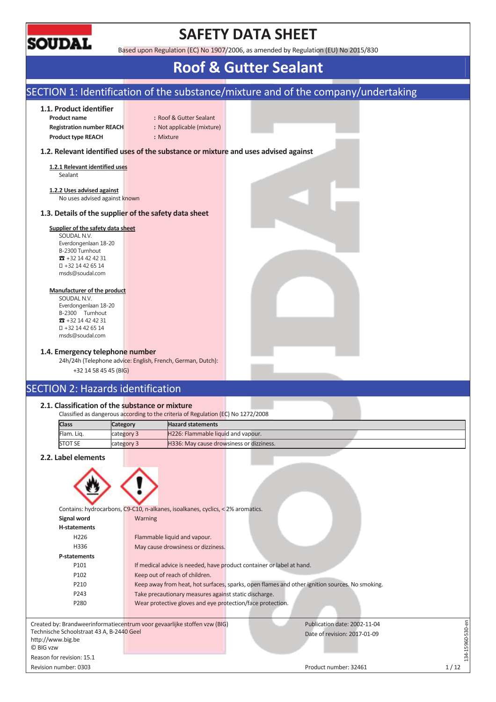

## **SAFETY DATA SHEET**

Based upon Regulation (EC) No 1907/2006, as amended by Regulation (EU) No 2015/830

## **Roof & Gutter Sealant**

### SECTION 1: Identification of the substance/mixture and of the company/undertaking **1.1. Product identifier Product name :: I CONTEX Gutter Sealant Registration number REACH :** Not applicable (mixture) **Product type REACH :** Mixture **1.2. Relevant identified uses of the substance or mixture and uses advised against 1.2.1 Relevant identified uses**  Sealant **1.2.2 Uses advised against**  No uses advised against known **1.3. Details of the supplier of the safety data sheet Supplier of the safety data sheet**  SOUDAL N.V. Everdongenlaan 18-20 B-2300 Turnhout  $\pi$  +32 14 42 42 31 +32 14 42 65 14 msds@soudal.com **Manufacturer of the product**  SOUDAL N.V. Everdongenlaan 18-20 B-2300 Turnhout  $32 + 32 + 42 + 42 + 31$  +32 14 42 65 14 msds@soudal.com **1.4. Emergency telephone number**  24h/24h (Telephone advice: English, French, German, Dutch): +32 14 58 45 45 (BIG) SECTION 2: Hazards identification **2.1. Classification of the substance or mixture**  Classified as dangerous according to the criteria of Regulation (EC) No 1272/2008 **Class Category Hazard statements** Flam. Liq. category 3 H226: Flammable liquid and vapour. STOT SE category 3 H336: May cause drowsiness or dizziness. **2.2. Label elements**  Contains: hydrocarbons, C9-C10, n-alkanes, isoalkanes, cyclics, < 2% aromatics. **Signal word Warning H-statements**  H226 Flammable liquid and vapour. H336 May cause drowsiness or dizziness. **P-statements**  P101 If medical advice is needed, have product container or label at hand. P102 Keep out of reach of children. P210 Keep away from heat, hot surfaces, sparks, open flames and other ignition sources. No smoking. P243 Take precautionary measures against static discharge. P280 Wear protective gloves and eye protection/face protection. L34-15960-530-en 134-15960-530-en Created by: Brandweerinformatiecentrum voor gevaarlijke stoffen vzw (BIG) Publication date: 2002-11-04 Technische Schoolstraat 43 A, B-2440 Geel Date of revision: 2017-01-09 http://www.big.be © BIG vzw Reason for revision: 15.1 Revision number: 0303 1/12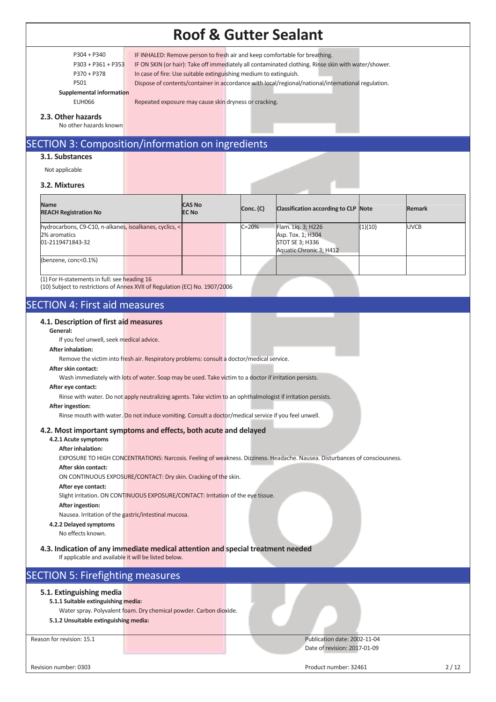P304 + P340 IF INHALED: Remove person to fresh air and keep comfortable for breathing.

P303 + P361 + P353 IF ON SKIN (or hair): Take off immediately all contaminated clothing. Rinse skin with water/shower.

P370 + P378 In case of fire: Use suitable extinguishing medium to extinguish.

P501 Dispose of contents/container in accordance with local/regional/national/international regulation.

#### **Supplemental information**

EUH066 Repeated exposure may cause skin dryness or cracking.

**2.3. Other hazards** 

No other hazards known

### SECTION 3: Composition/information on ingredients

#### **3.1. Substances**

Not applicable

#### **3.2. Mixtures**

| <b>Name</b><br><b>REACH Registration No</b>                                                 | <b>CAS No</b><br><b>EC No</b> | Conc. (C) | Classification according to CLP Note                                                  |         | <b>Remark</b> |
|---------------------------------------------------------------------------------------------|-------------------------------|-----------|---------------------------------------------------------------------------------------|---------|---------------|
| hydrocarbons, C9-C10, n-alkanes, isoalkanes, cyclics, <<br>2% aromatics<br>01-2119471843-32 |                               | $C = 20%$ | Flam. Liq. 3; H226<br>Asp. Tox. 1; H304<br>STOT SE 3; H336<br>Aquatic Chronic 3; H412 | (1)(10) | <b>UVCB</b>   |
| (benzene, conc<0.1%)                                                                        |                               |           |                                                                                       |         |               |

(1) For H-statements in full: see heading 16

(10) Subject to restrictions of Annex XVII of Regulation (EC) No. 1907/2006

### SECTION 4: First aid measures

#### **4.1. Description of first aid measures**

**General:** 

If you feel unwell, seek medical advice.

#### **After inhalation:**

Remove the victim into fresh air. Respiratory problems: consult a doctor/medical service.

#### **After skin contact:**

Wash immediately with lots of water. Soap may be used. Take victim to a doctor if irritation persists.

#### **After eye contact:**

Rinse with water. Do not apply neutralizing agents. Take victim to an ophthalmologist if irritation persists.

#### **After ingestion:**

Rinse mouth with water. Do not induce vomiting. Consult a doctor/medical service if you feel unwell.

#### **4.2. Most important symptoms and effects, both acute and delayed**

#### **4.2.1 Acute symptoms After inhalation:**

EXPOSURE TO HIGH CONCENTRATIONS: Narcosis. Feeling of weakness. Dizziness. Headache. Nausea. Disturbances of consciousness.

#### **After skin contact:**

ON CONTINUOUS EXPOSURE/CONTACT: Dry skin. Cracking of the skin.

#### **After eye contact:**

Slight irritation. ON CONTINUOUS EXPOSURE/CONTACT: Irritation of the eye tissue.

**After ingestion:** 

Nausea. Irritation of the gastric/intestinal mucosa.

#### **4.2.2 Delayed symptoms**

No effects known.

**4.3. Indication of any immediate medical attention and special treatment needed**

If applicable and available it will be listed below.

### SECTION 5: Firefighting measures

#### **5.1. Extinguishing media**

#### **5.1.1 Suitable extinguishing media:**

Water spray. Polyvalent foam. Dry chemical powder. Carbon dioxide.

#### **5.1.2 Unsuitable extinguishing media:**

Reason for revision: 15.1 **Publication date: 2002-11-04** Publication date: 2002-11-04 Date of revision: 2017-01-09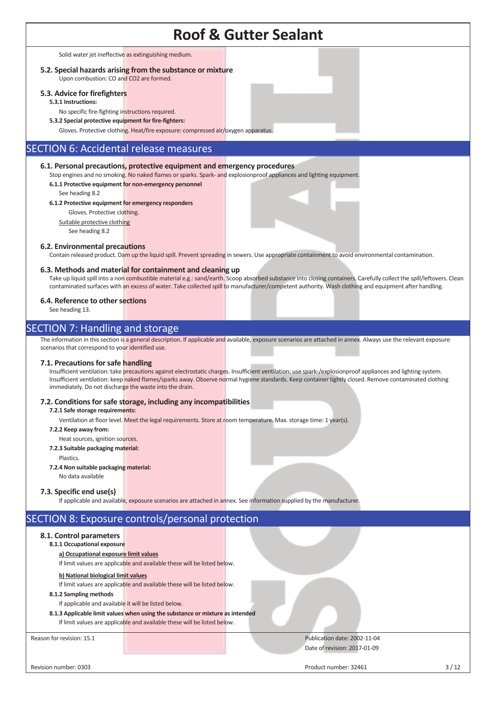Solid water jet ineffective as extinguishing medium.

#### **5.2. Special hazards arising from the substance or mixture** Upon combustion: CO and CO2 are formed.

### **5.3. Advice for firefighters**

**5.3.1 Instructions:** 

No specific fire-fighting instructions required.

**5.3.2 Special protective equipment for fire-fighters:** 

Gloves. Protective clothing. Heat/fire exposure: compressed air/oxygen apparatus.

## SECTION 6: Accidental release measures

#### **6.1. Personal precautions, protective equipment and emergency procedures**

Stop engines and no smoking. No naked flames or sparks. Spark- and explosionproof appliances and lighting equipment.

**6.1.1 Protective equipment for non-emergency personnel** 

See heading 8.2

#### **6.1.2 Protective equipment for emergency responders**

Gloves. Protective clothing.

Suitable protective clothing See heading 8.2

#### **6.2. Environmental precautions**

Contain released product. Dam up the liquid spill. Prevent spreading in sewers. Use appropriate containment to avoid environmental contamination.

#### **6.3. Methods and material for containment and cleaning up**

Take up liquid spill into a non combustible material e.g.: sand/earth. Scoop absorbed substance into closing containers. Carefully collect the spill/leftovers. Clean contaminated surfaces with an excess of water. Take collected spill to manufacturer/competent authority. Wash clothing and equipment after handling.

#### **6.4. Reference to other sections**

See heading 13.

### SECTION 7: Handling and storage

The information in this section is a general description. If applicable and available, exposure scenarios are attached in annex. Always use the relevant exposure scenarios that correspond to your identified use.

#### **7.1. Precautions for safe handling**

Insufficient ventilation: take precautions against electrostatic charges. Insufficient ventilation: use spark-/explosionproof appliances and lighting system. Insufficient ventilation: keep naked flames/sparks away. Observe normal hygiene standards. Keep container tightly closed. Remove contaminated clothing immediately. Do not discharge the waste into the drain.

#### **7.2. Conditions for safe storage, including any incompatibilities**

**7.2.1 Safe storage requirements:** 

Ventilation at floor level. Meet the legal requirements. Store at room temperature. Max. storage time: 1 year(s).

- **7.2.2 Keep away from:**
- Heat sources, ignition sources.
- **7.2.3 Suitable packaging material:** 
	- Plastics.
- **7.2.4 Non suitable packaging material:**
- No data available

#### **7.3. Specific end use(s)**

If applicable and available, exposure scenarios are attached in annex. See information supplied by the manufacturer.

### SECTION 8: Exposure controls/personal protection

#### **8.1. Control parameters**

#### **8.1.1 Occupational exposure**

**a) Occupational exposure limit values** 

If limit values are applicable and available these will be listed below.

#### **b) National biological limit values**

If limit values are applicable and available these will be listed below.

#### **8.1.2 Sampling methods**

- If applicable and available it will be listed below.
- **8.1.3 Applicable limit values when using the substance or mixture as intended** If limit values are applicable and available these will be listed below.

#### Reason for revision: 15.1 **Publication date: 2002-11-04** Publication date: 2002-11-04 Date of revision: 2017-01-09

Revision number: 0303 3 / 12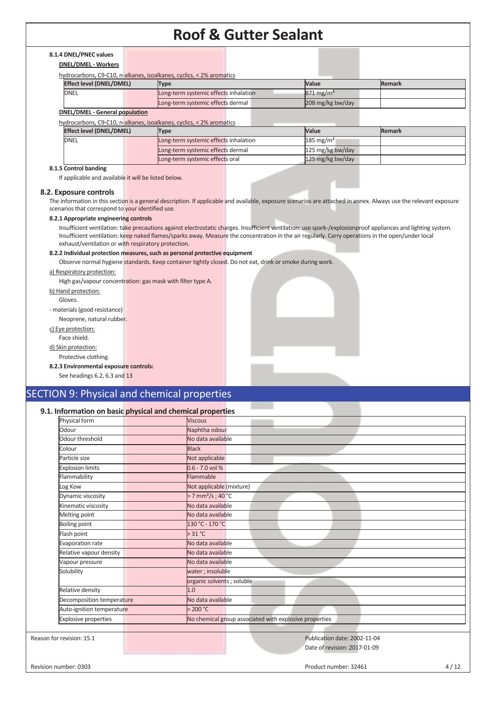### **8.1.4 DNEL/PNEC values**

| <b>DNEL/DMEL - Workers</b> |
|----------------------------|
|----------------------------|

hydrocarbons, C9-C10, n-alkanes, isoalkanes, cyclics, < 2% aromatics

| <b>Effect level (DNEL/DMEL)</b>                                      | Type                                  | <b>Value</b>            | <b>Remark</b> |  |  |  |  |  |  |
|----------------------------------------------------------------------|---------------------------------------|-------------------------|---------------|--|--|--|--|--|--|
| <b>DNEL</b>                                                          | Long-term systemic effects inhalation | $871 \,\mathrm{mg/m^3}$ |               |  |  |  |  |  |  |
|                                                                      | Long-term systemic effects dermal     | 208 mg/kg bw/day        |               |  |  |  |  |  |  |
| <b>DNEL/DMEL - General population</b>                                |                                       |                         |               |  |  |  |  |  |  |
| hydrocarbons, C9-C10, n-alkanes, isoalkanes, cyclics, < 2% aromatics |                                       |                         |               |  |  |  |  |  |  |

| Effect level (DNEL/DMEL) | Type                                  | <b>Value</b>          | Remark |
|--------------------------|---------------------------------------|-----------------------|--------|
| <b>DNEL</b>              | Long-term systemic effects inhalation | 185 mg/m <sup>3</sup> |        |
|                          | Long-term systemic effects dermal     | 125 mg/kg bw/day      |        |
|                          | Long-term systemic effects oral       | 125 mg/kg bw/day      |        |

### **8.1.5 Control banding**

If applicable and available it will be listed below.

#### **8.2. Exposure controls**

The information in this section is a general description. If applicable and available, exposure scenarios are attached in annex. Always use the relevant exposure scenarios that correspond to your identified use.

#### **8.2.1 Appropriate engineering controls**

Insufficient ventilation: take precautions against electrostatic charges. Insufficient ventilation: use spark-/explosionproof appliances and lighting system. Insufficient ventilation: keep naked flames/sparks away. Measure the concentration in the air regularly. Carry operations in the open/under local exhaust/ventilation or with respiratory protection.

#### **8.2.2 Individual protection measures, such as personal protective equipment**

Observe normal hygiene standards. Keep container tightly closed. Do not eat, drink or smoke during work.

#### a) Respiratory protection:

High gas/vapour concentration: gas mask with filter type A.

b) Hand protection:

Gloves.

- materials (good resistance)

Neoprene, natural rubber.

c) Eye protection: Face shield.

d) Skin protection:

Protective clothing.

**8.2.3 Environmental exposure controls:**

See headings 6.2, 6.3 and 13

## SECTION 9: Physical and chemical properties

### **9.1. Information on basic physical and chemical properties**

| Physical form               | <b>Viscous</b>                                         |
|-----------------------------|--------------------------------------------------------|
| Odour                       | Naphtha odour                                          |
| Odour threshold             | No data available                                      |
| Colour                      | <b>Black</b>                                           |
| Particle size               | Not applicable                                         |
| <b>Explosion limits</b>     | $0.6 - 7.0$ vol %                                      |
| Flammability                | Flammable                                              |
| Log Kow                     | Not applicable (mixture)                               |
| Dynamic viscosity           | > 7 mm <sup>2</sup> /s; 40 °C                          |
| Kinematic viscosity         | No data available                                      |
| Melting point               | No data available                                      |
| <b>Boiling point</b>        | 130 °C - 170 °C                                        |
| Flash point                 | $>31^{\circ}$ C                                        |
| Evaporation rate            | No data available                                      |
| Relative vapour density     | No data available                                      |
| Vapour pressure             | No data available                                      |
| Solubility                  | water; insoluble                                       |
|                             | organic solvents; soluble                              |
| Relative density            | 1.0                                                    |
| Decomposition temperature   | No data available                                      |
| Auto-ignition temperature   | >200 °C                                                |
| <b>Explosive properties</b> | No chemical group associated with explosive properties |
|                             |                                                        |
| Reason for revision: 15.1   | Publication date: 2002-11-04                           |
|                             | Date of revision: 2017-01-09                           |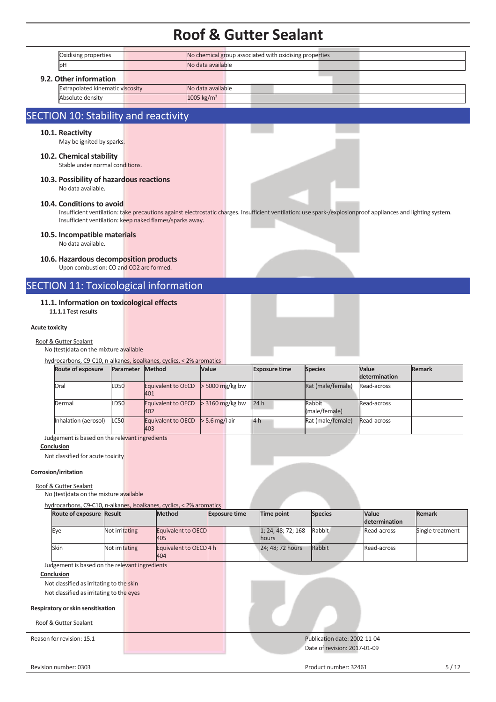|                       |                                                                                                  |                |                            |                                                          |                      |     | <b>Roof &amp; Gutter Sealant</b>                       |                                                                                                                                                               |                              |                  |
|-----------------------|--------------------------------------------------------------------------------------------------|----------------|----------------------------|----------------------------------------------------------|----------------------|-----|--------------------------------------------------------|---------------------------------------------------------------------------------------------------------------------------------------------------------------|------------------------------|------------------|
|                       | Oxidising properties                                                                             |                |                            |                                                          |                      |     | No chemical group associated with oxidising properties |                                                                                                                                                               |                              |                  |
|                       | þН                                                                                               |                |                            |                                                          | No data available    |     |                                                        |                                                                                                                                                               |                              |                  |
|                       | 9.2. Other information                                                                           |                |                            |                                                          |                      |     |                                                        |                                                                                                                                                               |                              |                  |
|                       | <b>Extrapolated kinematic viscosity</b>                                                          |                |                            |                                                          | No data available    |     |                                                        |                                                                                                                                                               |                              |                  |
|                       | Absolute density                                                                                 |                |                            | $1005$ kg/m <sup>3</sup>                                 |                      |     |                                                        |                                                                                                                                                               |                              |                  |
|                       | SECTION 10: Stability and reactivity                                                             |                |                            |                                                          |                      |     |                                                        |                                                                                                                                                               |                              |                  |
|                       | 10.1. Reactivity<br>May be ignited by sparks.                                                    |                |                            |                                                          |                      |     |                                                        |                                                                                                                                                               |                              |                  |
|                       | 10.2. Chemical stability<br>Stable under normal conditions.                                      |                |                            |                                                          |                      |     |                                                        |                                                                                                                                                               |                              |                  |
|                       | 10.3. Possibility of hazardous reactions<br>No data available.                                   |                |                            |                                                          |                      |     |                                                        |                                                                                                                                                               |                              |                  |
|                       | 10.4. Conditions to avoid                                                                        |                |                            | Insufficient ventilation: keep naked flames/sparks away. |                      |     |                                                        | Insufficient ventilation: take precautions against electrostatic charges. Insufficient ventilation: use spark-/explosionproof appliances and lighting system. |                              |                  |
|                       | 10.5. Incompatible materials<br>No data available.                                               |                |                            |                                                          |                      |     |                                                        |                                                                                                                                                               |                              |                  |
|                       | 10.6. Hazardous decomposition products<br>Upon combustion: CO and CO2 are formed.                |                |                            |                                                          |                      |     |                                                        |                                                                                                                                                               |                              |                  |
|                       | <b>SECTION 11: Toxicological information</b>                                                     |                |                            |                                                          |                      |     |                                                        |                                                                                                                                                               |                              |                  |
|                       | 11.1. Information on toxicological effects<br>11.1.1 Test results                                |                |                            |                                                          |                      |     |                                                        |                                                                                                                                                               |                              |                  |
| <b>Acute toxicity</b> |                                                                                                  |                |                            |                                                          |                      |     |                                                        |                                                                                                                                                               |                              |                  |
|                       | Roof & Gutter Sealant<br>No (test) data on the mixture available                                 |                |                            |                                                          |                      |     |                                                        |                                                                                                                                                               |                              |                  |
|                       | hydrocarbons, C9-C10, n-alkanes, isoalkanes, cyclics, < 2% aromatics                             |                |                            |                                                          |                      |     |                                                        |                                                                                                                                                               |                              |                  |
|                       | <b>Route of exposure</b>                                                                         |                | Parameter<br><b>Method</b> |                                                          | Value                |     | <b>Exposure time</b>                                   | <b>Species</b>                                                                                                                                                | Value                        | <b>Remark</b>    |
|                       |                                                                                                  |                |                            |                                                          |                      |     |                                                        |                                                                                                                                                               |                              |                  |
|                       | Oral                                                                                             | LD50           |                            | Equivalent to OECD                                       | > 5000 mg/kg bw      |     |                                                        | Rat (male/female)                                                                                                                                             | determination<br>Read-across |                  |
|                       | Dermal                                                                                           | LD50           | 401                        | Equivalent to OECD                                       | > 3160 mg/kg bw      | 24h |                                                        | Rabbit                                                                                                                                                        | Read-across                  |                  |
|                       |                                                                                                  |                | 402                        |                                                          |                      |     |                                                        | (male/female)                                                                                                                                                 |                              |                  |
|                       | Inhalation (aerosol)                                                                             | <b>LC50</b>    | 403                        | Equivalent to OECD                                       | $> 5.6$ mg/l air     | 4h  |                                                        | Rat (male/female)                                                                                                                                             | Read-across                  |                  |
|                       | Judgement is based on the relevant ingredients                                                   |                |                            |                                                          |                      |     |                                                        |                                                                                                                                                               |                              |                  |
|                       | Conclusion                                                                                       |                |                            |                                                          |                      |     |                                                        |                                                                                                                                                               |                              |                  |
|                       | Not classified for acute toxicity                                                                |                |                            |                                                          |                      |     |                                                        |                                                                                                                                                               |                              |                  |
|                       | Corrosion/irritation                                                                             |                |                            |                                                          |                      |     |                                                        |                                                                                                                                                               |                              |                  |
|                       | Roof & Gutter Sealant                                                                            |                |                            |                                                          |                      |     |                                                        |                                                                                                                                                               |                              |                  |
|                       | No (test) data on the mixture available                                                          |                |                            |                                                          |                      |     |                                                        |                                                                                                                                                               |                              |                  |
|                       | hydrocarbons, C9-C10, n-alkanes, isoalkanes, cyclics, < 2% aromatics<br>Route of exposure Result |                |                            | <b>Method</b>                                            | <b>Exposure time</b> |     | Time point                                             | <b>Species</b>                                                                                                                                                | Value<br>determination       | <b>Remark</b>    |
|                       | Eye                                                                                              | Not irritating |                            | Equivalent to OECD<br>405                                |                      |     | 1; 24; 48; 72; 168<br>hours                            | Rabbit                                                                                                                                                        | Read-across                  | Single treatment |
|                       | Skin                                                                                             | Not irritating |                            | Equivalent to OECD 4 h<br>404                            |                      |     | 24; 48; 72 hours                                       | Rabbit                                                                                                                                                        | Read-across                  |                  |
|                       | Judgement is based on the relevant ingredients                                                   |                |                            |                                                          |                      |     |                                                        |                                                                                                                                                               |                              |                  |
|                       | Conclusion                                                                                       |                |                            |                                                          |                      |     |                                                        |                                                                                                                                                               |                              |                  |
|                       | Not classified as irritating to the skin<br>Not classified as irritating to the eyes             |                |                            |                                                          |                      |     |                                                        |                                                                                                                                                               |                              |                  |
|                       |                                                                                                  |                |                            |                                                          |                      |     |                                                        |                                                                                                                                                               |                              |                  |
|                       | Respiratory or skin sensitisation<br>Roof & Gutter Sealant                                       |                |                            |                                                          |                      |     |                                                        |                                                                                                                                                               |                              |                  |
|                       | Reason for revision: 15.1                                                                        |                |                            |                                                          |                      |     |                                                        | Publication date: 2002-11-04                                                                                                                                  |                              |                  |
|                       |                                                                                                  |                |                            |                                                          |                      |     |                                                        | Date of revision: 2017-01-09                                                                                                                                  |                              |                  |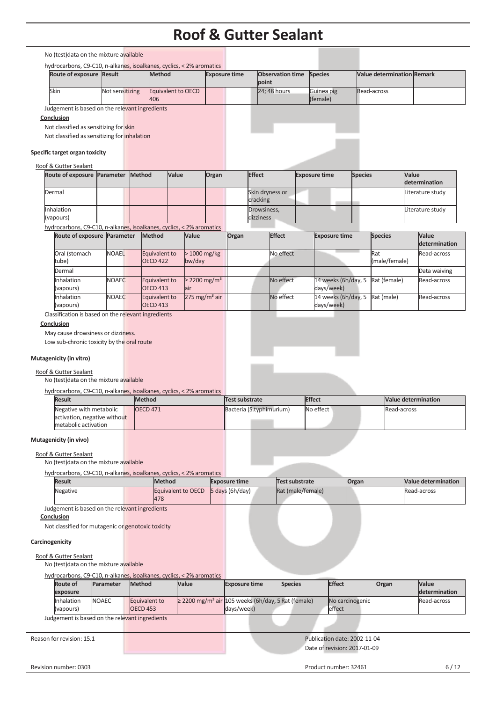|                                                                                                                 |              |                 |               |                                  |       |                                       |       |                                                   |                          | <b>Roof &amp; Gutter Sealant</b>                              |                                   |                 |                                   |       |                               |
|-----------------------------------------------------------------------------------------------------------------|--------------|-----------------|---------------|----------------------------------|-------|---------------------------------------|-------|---------------------------------------------------|--------------------------|---------------------------------------------------------------|-----------------------------------|-----------------|-----------------------------------|-------|-------------------------------|
| No (test) data on the mixture available                                                                         |              |                 |               |                                  |       |                                       |       |                                                   |                          |                                                               |                                   |                 |                                   |       |                               |
| hydrocarbons, C9-C10, n-alkanes, isoalkanes, cyclics, < 2% aromatics<br>Route of exposure Result                |              |                 |               | Method                           |       |                                       |       | <b>Exposure time</b>                              |                          | <b>Observation time</b>                                       | <b>Species</b>                    |                 | <b>Value determination Remark</b> |       |                               |
| Skin                                                                                                            |              | Not sensitizing |               | Equivalent to OECD               |       |                                       |       |                                                   | point                    | 24; 48 hours                                                  | Guinea pig                        |                 | Read-across                       |       |                               |
| Judgement is based on the relevant ingredients                                                                  |              |                 |               | 406                              |       |                                       |       |                                                   |                          |                                                               | (female)                          |                 |                                   |       |                               |
| Conclusion<br>Not classified as sensitizing for skin                                                            |              |                 |               |                                  |       |                                       |       |                                                   |                          |                                                               |                                   |                 |                                   |       |                               |
| Not classified as sensitizing for inhalation                                                                    |              |                 |               |                                  |       |                                       |       |                                                   |                          |                                                               |                                   |                 |                                   |       |                               |
| Specific target organ toxicity                                                                                  |              |                 |               |                                  |       |                                       |       |                                                   |                          |                                                               |                                   |                 |                                   |       |                               |
| Roof & Gutter Sealant                                                                                           |              |                 |               |                                  |       |                                       |       |                                                   |                          |                                                               |                                   |                 |                                   |       |                               |
| Route of exposure Parameter                                                                                     |              |                 | <b>Method</b> |                                  | Value |                                       | Organ |                                                   | <b>Effect</b>            |                                                               | <b>Exposure time</b>              | <b>Species</b>  |                                   | Value | determination                 |
| Dermal                                                                                                          |              |                 |               |                                  |       |                                       |       |                                                   | cracking                 | Skin dryness or                                               |                                   |                 |                                   |       | Literature study              |
| Inhalation<br>(vapours)                                                                                         |              |                 |               |                                  |       |                                       |       |                                                   | Drowsiness,<br>dizziness |                                                               |                                   |                 |                                   |       | Literature study              |
| hydrocarbons, C9-C10, n-alkanes, isoalkanes, cyclics, < 2% aromatics                                            |              |                 |               |                                  |       |                                       |       |                                                   |                          |                                                               |                                   |                 |                                   |       |                               |
| Route of exposure Parameter                                                                                     |              |                 |               | <b>Method</b>                    |       | Value                                 |       | Organ                                             |                          | <b>Effect</b>                                                 | <b>Exposure time</b>              |                 | <b>Species</b>                    |       | <b>Value</b><br>determination |
| Oral (stomach<br>tube)                                                                                          |              | <b>NOAEL</b>    |               | Equivalent to<br><b>OECD 422</b> |       | > 1000 mg/kg<br>bw/day                |       |                                                   |                          | No effect                                                     |                                   |                 | Rat<br>(male/female)              |       | Read-across                   |
| Dermal                                                                                                          |              |                 |               |                                  |       |                                       |       |                                                   |                          |                                                               |                                   |                 |                                   |       | Data waiving                  |
| Inhalation<br>(vapours)                                                                                         |              | <b>NOAEC</b>    |               | Equivalent to<br><b>OECD 413</b> |       | $\geq$ 2200 mg/m <sup>3</sup><br>lair |       |                                                   |                          | No effect                                                     | 14 weeks (6h/day, 5<br>days/week) |                 | Rat (female)                      |       | Read-across                   |
| Inhalation<br>(vapours)                                                                                         |              | <b>NOAEC</b>    |               | Equivalent to<br><b>OECD 413</b> |       | 275 mg/m <sup>3</sup> air             |       |                                                   |                          | No effect                                                     | 14 weeks (6h/day, 5<br>days/week) |                 | Rat (male)                        |       | Read-across                   |
| Classification is based on the relevant ingredients                                                             |              |                 |               |                                  |       |                                       |       |                                                   |                          |                                                               |                                   |                 |                                   |       |                               |
| Conclusion<br>May cause drowsiness or dizziness.                                                                |              |                 |               |                                  |       |                                       |       |                                                   |                          |                                                               |                                   |                 |                                   |       |                               |
| Low sub-chronic toxicity by the oral route                                                                      |              |                 |               |                                  |       |                                       |       |                                                   |                          |                                                               |                                   |                 |                                   |       |                               |
| Mutagenicity (in vitro)                                                                                         |              |                 |               |                                  |       |                                       |       |                                                   |                          |                                                               |                                   |                 |                                   |       |                               |
| Roof & Gutter Sealant<br>No (test) data on the mixture available                                                |              |                 |               |                                  |       |                                       |       |                                                   |                          |                                                               |                                   |                 |                                   |       |                               |
| hydrocarbons, C9-C10, n-alkanes, isoalkanes, cyclics, < 2% aromatics                                            |              |                 |               |                                  |       |                                       |       |                                                   |                          |                                                               |                                   |                 |                                   |       |                               |
| <b>Result</b><br>Negative with metabolic                                                                        |              |                 |               | <b>Method</b><br><b>OECD 471</b> |       |                                       |       | <b>Test substrate</b><br>Bacteria (S.typhimurium) |                          |                                                               | <b>Effect</b><br>No effect        |                 | Read-across                       |       | <b>Value determination</b>    |
| activation, negative without<br>metabolic activation                                                            |              |                 |               |                                  |       |                                       |       |                                                   |                          |                                                               |                                   |                 |                                   |       |                               |
| Mutagenicity (in vivo)                                                                                          |              |                 |               |                                  |       |                                       |       |                                                   |                          |                                                               |                                   |                 |                                   |       |                               |
| Roof & Gutter Sealant                                                                                           |              |                 |               |                                  |       |                                       |       |                                                   |                          |                                                               |                                   |                 |                                   |       |                               |
| No (test) data on the mixture available<br>hydrocarbons, C9-C10, n-alkanes, isoalkanes, cyclics, < 2% aromatics |              |                 |               |                                  |       |                                       |       |                                                   |                          |                                                               |                                   |                 |                                   |       |                               |
| <b>Result</b>                                                                                                   |              |                 |               | <b>Method</b>                    |       |                                       |       | <b>Exposure time</b>                              |                          | <b>Test substrate</b>                                         |                                   | Organ           |                                   |       | <b>Value determination</b>    |
| Negative                                                                                                        |              |                 |               | 478                              |       | Equivalent to OECD                    |       | 5 days (6h/day)                                   |                          | Rat (male/female)                                             |                                   |                 |                                   |       | Read-across                   |
| Judgement is based on the relevant ingredients<br>Conclusion                                                    |              |                 |               |                                  |       |                                       |       |                                                   |                          |                                                               |                                   |                 |                                   |       |                               |
| Not classified for mutagenic or genotoxic toxicity                                                              |              |                 |               |                                  |       |                                       |       |                                                   |                          |                                                               |                                   |                 |                                   |       |                               |
| Carcinogenicity                                                                                                 |              |                 |               |                                  |       |                                       |       |                                                   |                          |                                                               |                                   |                 |                                   |       |                               |
| Roof & Gutter Sealant                                                                                           |              |                 |               |                                  |       |                                       |       |                                                   |                          |                                                               |                                   |                 |                                   |       |                               |
| No (test) data on the mixture available<br>hydrocarbons, C9-C10, n-alkanes, isoalkanes, cyclics, < 2% aromatics |              |                 |               |                                  |       |                                       |       |                                                   |                          |                                                               |                                   |                 |                                   |       |                               |
| Route of                                                                                                        |              | Parameter       | <b>Method</b> |                                  |       | Value                                 |       | <b>Exposure time</b>                              |                          | <b>Species</b>                                                | <b>Effect</b>                     |                 | Organ                             |       | Value                         |
| exposure                                                                                                        |              |                 |               |                                  |       |                                       |       |                                                   |                          |                                                               |                                   |                 |                                   |       | determination                 |
| Inhalation<br>(vapours)                                                                                         | <b>NOAEC</b> |                 |               | Equivalent to<br><b>OECD 453</b> |       |                                       |       | days/week)                                        |                          | ≥ 2200 mg/m <sup>3</sup> air 105 weeks (6h/day, 5Rat (female) | effect                            | No carcinogenic |                                   |       | Read-across                   |

(vapours) Judgement is based on the relevant ingredients

| Reason for revision: 15.1 |  | Publication date: 2002-11-04 |
|---------------------------|--|------------------------------|
|                           |  | Date of revision: 2017-01-09 |
|                           |  |                              |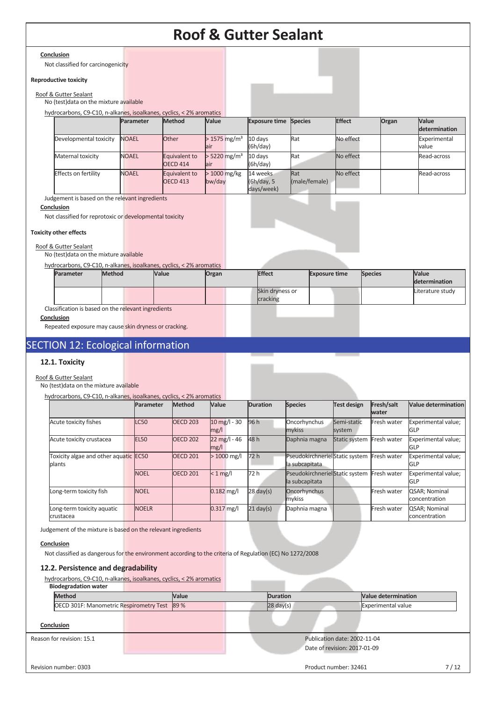#### **Conclusion**

Not classified for carcinogenicity

#### **Reproductive toxicity**

#### Roof & Gutter Sealant

No (test)data on the mixture available

hydrocarbons, C9-C10, n-alkanes, isoalkanes, cyclics, < 2% aromatics

|                        | Parameter    | Method          | Value                      | <b>Exposure time Species</b> |               | <b>Effect</b> | Organ | <b>Value</b>  |
|------------------------|--------------|-----------------|----------------------------|------------------------------|---------------|---------------|-------|---------------|
|                        |              |                 |                            |                              |               |               |       | determination |
| Developmental toxicity | <b>NOAEL</b> | <b>Other</b>    | $> 1575$ mg/m <sup>3</sup> | 10 days                      | Rat           | No effect     |       | Experimental  |
|                        |              |                 | lair                       | (6h/day)                     |               |               |       | value         |
| Maternal toxicity      | <b>NOAEL</b> | Equivalent to   | $>$ 5220 mg/m <sup>3</sup> | 10 davs                      | Rat           | No effect     |       | Read-across   |
|                        |              | <b>OECD 414</b> | lair                       | (6h/day)                     |               |               |       |               |
| Effects on fertility   | <b>NOAEL</b> | Equivalent to   | $>1000$ mg/kg              | 14 weeks                     | Rat           | No effect     |       | Read-across   |
|                        |              | <b>OECD 413</b> | bw/day                     | (6h/day, 5                   | (male/female) |               |       |               |
|                        |              |                 |                            | days/week)                   |               |               |       |               |

Judgement is based on the relevant ingredients

### **Conclusion**

Not classified for reprotoxic or developmental toxicity

### **Toxicity other effects**

#### Roof & Gutter Sealant

No (test)data on the mixture available

hydrocarbons, C9-C10, n-alkanes, isoalkanes, cyclics, < 2% aromatics

| <b>Parameter</b> | <b>Method</b> | Value | Organ | <b>Effect</b>               | <b>Exposure time</b> | <b>Species</b> | <b>Value</b><br>determination |
|------------------|---------------|-------|-------|-----------------------------|----------------------|----------------|-------------------------------|
|                  |               |       |       | Skin dryness or<br>cracking |                      |                | Literature study              |

Classification is based on the relevant ingredients

**Conclusion** 

Repeated exposure may cause skin dryness or cracking.

## SECTION 12: Ecological information

#### **12.1. Toxicity**

Roof & Gutter Sealant

No (test)data on the mixture available hydrocarbons,  $CO_2(40)$ , n-alkanes, iso

|                                                 | Parameter        | <b>Method</b>   | Value                          | <b>Duration</b>     | <b>Species</b>                                   | Test design           | Fresh/salt<br>water | Value determination               |
|-------------------------------------------------|------------------|-----------------|--------------------------------|---------------------|--------------------------------------------------|-----------------------|---------------------|-----------------------------------|
| Acute toxicity fishes                           | <b>LC50</b>      | <b>OECD 203</b> | $10$ mg/l - 30<br>mg/l         | 96 h                | Oncorhynchus<br>mykiss                           | Semi-static<br>system | Fresh water         | Experimental value;<br>GLP        |
| Acute toxicity crustacea                        | EL <sub>50</sub> | <b>OECD 202</b> | $22 \text{ mg}/I - 46$<br>mg/l | 48 h                | Daphnia magna                                    | Static system         | Fresh water         | Experimental value;<br><b>GLP</b> |
| Foxicity algae and other aquatic EC50<br>blants |                  | <b>OECD 201</b> | $>1000$ mg/l                   | 72h                 | PseudokirchnerielStatic system<br>la subcapitata |                       | Fresh water         | Experimental value;<br><b>GLP</b> |
|                                                 | <b>NOEL</b>      | <b>OECD 201</b> | $< 1$ mg/                      | 72 h                | PseudokirchnerielStatic system<br>la subcapitata |                       | Fresh water         | Experimental value;<br><b>GLP</b> |
| Long-term toxicity fish                         | <b>NOEL</b>      |                 | $0.182$ mg/l                   | $28 \text{ day}(s)$ | Oncorhynchus<br>mykiss                           |                       | Fresh water         | QSAR; Nominal<br>concentration    |
| Long-term toxicity aquatic<br>crustacea         | <b>NOELR</b>     |                 | $0.317$ mg/l                   | $21 \text{ day(s)}$ | Daphnia magna                                    |                       | Fresh water         | QSAR; Nominal<br>concentration    |

Judgement of the mixture is based on the relevant ingredients

#### **Conclusion**

Not classified as dangerous for the environment according to the criteria of Regulation (EC) No 1272/2008

#### **12.2. Persistence and degradability**

hydrocarbons, C9-C10, n-alkanes, isoalkanes, cyclics, < 2% aromatics

| <b>Biodegradation water</b>                  |       |                     |                              |                            |      |  |
|----------------------------------------------|-------|---------------------|------------------------------|----------------------------|------|--|
| <b>Method</b>                                | Value | <b>Duration</b>     |                              | <b>Value determination</b> |      |  |
| OECD 301F: Manometric Respirometry Test 89 % |       | $28 \text{ day}(s)$ |                              | <b>Experimental value</b>  |      |  |
|                                              |       |                     |                              |                            |      |  |
| Conclusion                                   |       |                     |                              |                            |      |  |
| Reason for revision: 15.1                    |       |                     | Publication date: 2002-11-04 |                            |      |  |
|                                              |       |                     | Date of revision: 2017-01-09 |                            |      |  |
|                                              |       |                     |                              |                            |      |  |
| Revision number: 0303                        |       |                     | Product number: 32461        |                            | 7/12 |  |
|                                              |       |                     |                              |                            |      |  |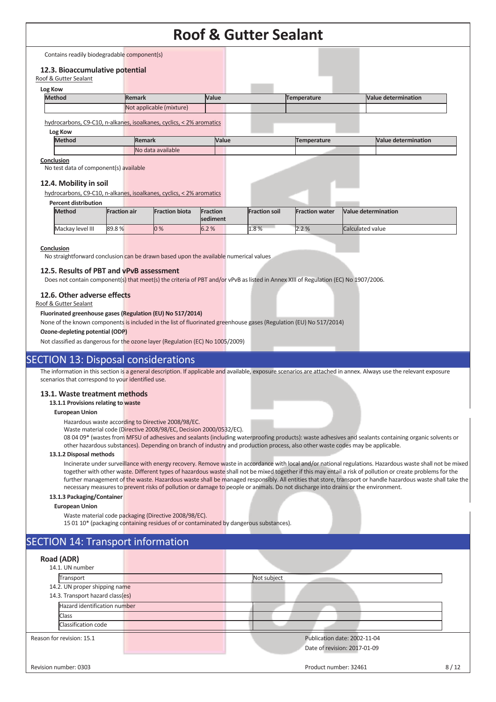Contains readily biodegradable component(s)

#### **12.3. Bioaccumulative potential**

| Roof & Gutter Sealant |               |                                                                      |       |             |                            |
|-----------------------|---------------|----------------------------------------------------------------------|-------|-------------|----------------------------|
| Log Kow               |               |                                                                      |       |             |                            |
|                       | <b>Method</b> | <b>Remark</b>                                                        | Value | Temperature | Value determination        |
|                       |               | Not applicable (mixture)                                             |       |             |                            |
|                       | Log Kow       | hydrocarbons, C9-C10, n-alkanes, isoalkanes, cyclics, < 2% aromatics |       |             |                            |
|                       | <b>Method</b> | <b>Remark</b>                                                        | Value | Temperature | <b>Value determination</b> |
|                       |               | No data available                                                    |       |             |                            |

#### **Conclusion**

No test data of component(s) available

#### **12.4. Mobility in soil**

hydrocarbons, C9-C10, n-alkanes, isoalkanes, cyclics, < 2% aromatics

#### **Percent distribution**

| .                |                     |                       |                             |                      |                       |                            |
|------------------|---------------------|-----------------------|-----------------------------|----------------------|-----------------------|----------------------------|
| <b>Method</b>    | <b>Fraction air</b> | <b>Fraction biota</b> | Fraction<br><b>sediment</b> | <b>Fraction soil</b> | <b>Fraction water</b> | <b>Value determination</b> |
| Mackay level III | 89.8%               | $0\%$                 | 6.2%                        | 1.8%                 | 2.2%                  | Calculated value           |
|                  |                     |                       |                             |                      |                       |                            |

#### **Conclusion**

No straightforward conclusion can be drawn based upon the available numerical values

#### **12.5. Results of PBT and vPvB assessment**

Does not contain component(s) that meet(s) the criteria of PBT and/or vPvB as listed in Annex XIII of Regulation (EC) No 1907/2006.

#### **12.6. Other adverse effects**

#### Roof & Gutter Sealant

#### **Fluorinated greenhouse gases (Regulation (EU) No 517/2014)**

None of the known components is included in the list of fluorinated greenhouse gases (Regulation (EU) No 517/2014)

#### **Ozone-depleting potential (ODP)**

Not classified as dangerous for the ozone layer (Regulation (EC) No 1005/2009)

### **SECTION 13: Disposal considerations**

The information in this section is a general description. If applicable and available, exposure scenarios are attached in annex. Always use the relevant exposure scenarios that correspond to your identified use.

#### **13.1. Waste treatment methods**

#### **13.1.1 Provisions relating to waste**

#### **European Union**

Hazardous waste according to Directive 2008/98/EC.

Waste material code (Directive 2008/98/EC, Decision 2000/0532/EC).

08 04 09\* (wastes from MFSU of adhesives and sealants (including waterproofing products): waste adhesives and sealants containing organic solvents or other hazardous substances). Depending on branch of industry and production process, also other waste codes may be applicable.

#### **13.1.2 Disposal methods**

Incinerate under surveillance with energy recovery. Remove waste in accordance with local and/or national regulations. Hazardous waste shall not be mixed together with other waste. Different types of hazardous waste shall not be mixed together if this may entail a risk of pollution or create problems for the further management of the waste. Hazardous waste shall be managed responsibly. All entities that store, transport or handle hazardous waste shall take the necessary measures to prevent risks of pollution or damage to people or animals. Do not discharge into drains or the environment.

#### **13.1.3 Packaging/Container**

**European Union** 

Waste material code packaging (Directive 2008/98/EC).

15 01 10\* (packaging containing residues of or contaminated by dangerous substances).

## SECTION 14: Transport information

| Road (ADR)<br>14.1. UN number                                     |                                                              |  |
|-------------------------------------------------------------------|--------------------------------------------------------------|--|
| Transport                                                         | Not subject                                                  |  |
| 14.2. UN proper shipping name<br>14.3. Transport hazard class(es) |                                                              |  |
| Hazard identification number                                      |                                                              |  |
| Class<br>Classification code                                      |                                                              |  |
| Reason for revision: 15.1                                         | Publication date: 2002-11-04<br>Date of revision: 2017-01-09 |  |
| Revision number: 0303                                             | Product number: 32461<br>8/12                                |  |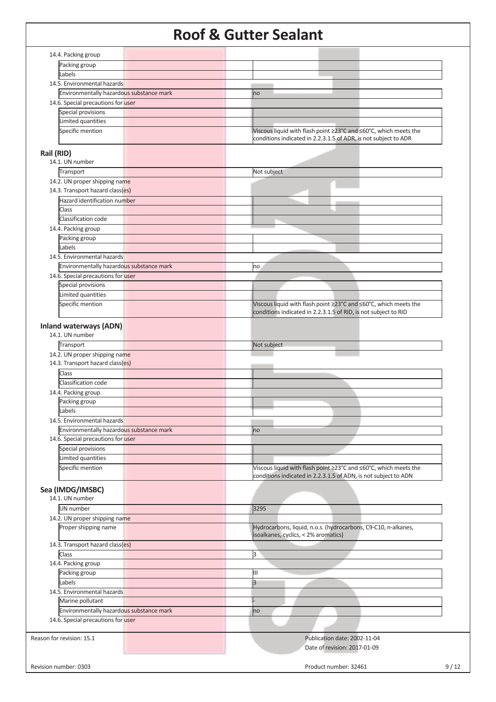|            |                                                  | $\sim$ |      |                                                                                                                                     |      |
|------------|--------------------------------------------------|--------|------|-------------------------------------------------------------------------------------------------------------------------------------|------|
|            | 14.4. Packing group                              |        |      |                                                                                                                                     |      |
|            | Packing group                                    |        |      |                                                                                                                                     |      |
|            | Labels                                           |        |      |                                                                                                                                     |      |
|            | 14.5. Environmental hazards                      |        |      |                                                                                                                                     |      |
|            |                                                  |        |      |                                                                                                                                     |      |
|            | Environmentally hazardous substance mark         |        | no   |                                                                                                                                     |      |
|            | 14.6. Special precautions for user               |        |      |                                                                                                                                     |      |
|            | Special provisions                               |        |      |                                                                                                                                     |      |
|            | Limited quantities                               |        |      |                                                                                                                                     |      |
|            | Specific mention                                 |        |      | Viscous liquid with flash point ≥23°C and ≤60°C, which meets the<br>conditions indicated in 2.2.3.1.5 of ADR, is not subject to ADR |      |
| Rail (RID) |                                                  |        |      |                                                                                                                                     |      |
|            | 14.1. UN number                                  |        |      |                                                                                                                                     |      |
|            | Transport                                        |        |      | Not subject                                                                                                                         |      |
|            |                                                  |        |      |                                                                                                                                     |      |
|            | 14.2. UN proper shipping name                    |        |      |                                                                                                                                     |      |
|            | 14.3. Transport hazard class(es)                 |        |      |                                                                                                                                     |      |
|            | Hazard identification number                     |        |      |                                                                                                                                     |      |
|            | <b>Class</b>                                     |        |      |                                                                                                                                     |      |
|            | Classification code                              |        |      |                                                                                                                                     |      |
|            | 14.4. Packing group                              |        |      |                                                                                                                                     |      |
|            | Packing group                                    |        |      |                                                                                                                                     |      |
|            | Labels                                           |        |      |                                                                                                                                     |      |
|            |                                                  |        |      |                                                                                                                                     |      |
|            | 14.5. Environmental hazards                      |        |      |                                                                                                                                     |      |
|            | Environmentally hazardous substance mark         |        | no   |                                                                                                                                     |      |
|            | 14.6. Special precautions for user               |        |      |                                                                                                                                     |      |
|            | Special provisions                               |        |      |                                                                                                                                     |      |
|            | Limited quantities                               |        |      |                                                                                                                                     |      |
|            | Specific mention                                 |        |      | Viscous liquid with flash point ≥23°C and ≤60°C, which meets the<br>conditions indicated in 2.2.3.1.5 of RID, is not subject to RID |      |
|            |                                                  |        |      |                                                                                                                                     |      |
|            | <b>Inland waterways (ADN)</b><br>14.1. UN number |        |      |                                                                                                                                     |      |
|            | Transport                                        |        |      | Not subject                                                                                                                         |      |
|            | 14.2. UN proper shipping name                    |        |      |                                                                                                                                     |      |
|            | 14.3. Transport hazard class(es)                 |        |      |                                                                                                                                     |      |
|            |                                                  |        |      |                                                                                                                                     |      |
|            | Class                                            |        |      |                                                                                                                                     |      |
|            | Classification code                              |        |      |                                                                                                                                     |      |
|            | 14.4. Packing group                              |        |      |                                                                                                                                     |      |
|            | Packing group                                    |        |      |                                                                                                                                     |      |
|            | Labels                                           |        |      |                                                                                                                                     |      |
|            | 14.5. Environmental hazards                      |        |      |                                                                                                                                     |      |
|            | Environmentally hazardous substance mark         |        |      |                                                                                                                                     |      |
|            |                                                  |        | no   |                                                                                                                                     |      |
|            | 14.6. Special precautions for user               |        |      |                                                                                                                                     |      |
|            | Special provisions                               |        |      |                                                                                                                                     |      |
|            | Limited quantities                               |        |      |                                                                                                                                     |      |
|            | Specific mention                                 |        |      | Viscous liquid with flash point ≥23°C and ≤60°C, which meets the                                                                    |      |
|            |                                                  |        |      | conditions indicated in 2.2.3.1.5 of ADN, is not subject to ADN                                                                     |      |
|            | Sea (IMDG/IMSBC)                                 |        |      |                                                                                                                                     |      |
|            | 14.1. UN number                                  |        |      |                                                                                                                                     |      |
|            | <b>UN</b> number                                 |        | 3295 |                                                                                                                                     |      |
|            | 14.2. UN proper shipping name                    |        |      |                                                                                                                                     |      |
|            | Proper shipping name                             |        |      | Hydrocarbons, liquid, n.o.s. (hydrocarbons, C9-C10, n-alkanes,<br>isoalkanes, cyclics, < 2% aromatics)                              |      |
|            | 14.3. Transport hazard class(es)                 |        |      |                                                                                                                                     |      |
|            | Class                                            |        | 3    |                                                                                                                                     |      |
|            | 14.4. Packing group                              |        |      |                                                                                                                                     |      |
|            |                                                  |        |      |                                                                                                                                     |      |
|            | Packing group                                    |        | Ш    |                                                                                                                                     |      |
|            | Labels                                           |        | 3    |                                                                                                                                     |      |
|            | 14.5. Environmental hazards                      |        |      |                                                                                                                                     |      |
|            | Marine pollutant                                 |        |      |                                                                                                                                     |      |
|            | Environmentally hazardous substance mark         |        | no   |                                                                                                                                     |      |
|            | 14.6. Special precautions for user               |        |      |                                                                                                                                     |      |
|            |                                                  |        |      |                                                                                                                                     |      |
|            |                                                  |        |      |                                                                                                                                     |      |
|            | Reason for revision: 15.1                        |        |      | Publication date: 2002-11-04                                                                                                        |      |
|            |                                                  |        |      | Date of revision: 2017-01-09                                                                                                        |      |
|            |                                                  |        |      |                                                                                                                                     |      |
|            | Revision number: 0303                            |        |      | Product number: 32461                                                                                                               | 9/12 |
|            |                                                  |        |      |                                                                                                                                     |      |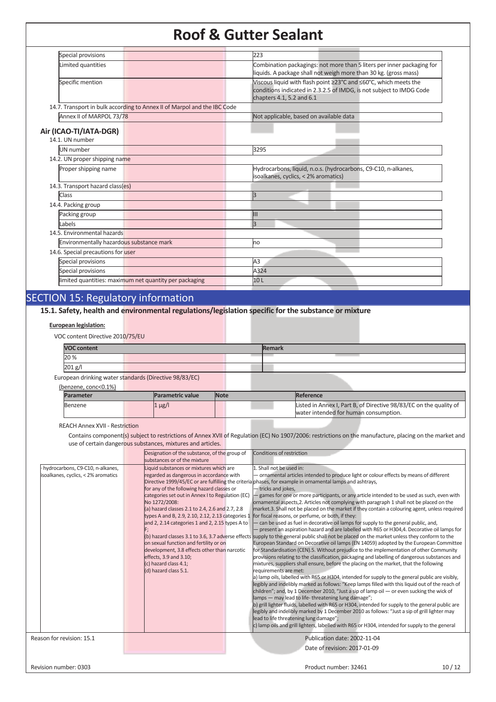| Special provisions                        |                                                                          | 223                                                                                                                                                                   |
|-------------------------------------------|--------------------------------------------------------------------------|-----------------------------------------------------------------------------------------------------------------------------------------------------------------------|
| Limited quantities                        |                                                                          | Combination packagings: not more than 5 liters per inner packaging for<br>liquids. A package shall not weigh more than 30 kg. (gross mass)                            |
| Specific mention                          |                                                                          | Viscous liquid with flash point ≥23°C and ≤60°C, which meets the<br>conditions indicated in 2.3.2.5 of IMDG, is not subject to IMDG Code<br>chapters 4.1, 5.2 and 6.1 |
|                                           | 14.7. Transport in bulk according to Annex II of Marpol and the IBC Code |                                                                                                                                                                       |
| Annex II of MARPOL 73/78                  |                                                                          | Not applicable, based on available data                                                                                                                               |
| Air (ICAO-TI/IATA-DGR)<br>14.1. UN number |                                                                          |                                                                                                                                                                       |
| UN number                                 |                                                                          | 3295                                                                                                                                                                  |
| 14.2. UN proper shipping name             |                                                                          |                                                                                                                                                                       |
| Proper shipping name                      |                                                                          | Hydrocarbons, liquid, n.o.s. (hydrocarbons, C9-C10, n-alkanes,<br>isoalkanes, cyclics, < 2% aromatics)                                                                |
| 14.3. Transport hazard class(es)          |                                                                          |                                                                                                                                                                       |
| Class                                     |                                                                          | l3                                                                                                                                                                    |
| 14.4. Packing group                       |                                                                          |                                                                                                                                                                       |
| Packing group                             |                                                                          | $\mathbf{III}$                                                                                                                                                        |
| Labels                                    |                                                                          | l3                                                                                                                                                                    |
| 14.5. Environmental hazards               |                                                                          |                                                                                                                                                                       |
| Environmentally hazardous substance mark  |                                                                          | no                                                                                                                                                                    |
| 14.6. Special precautions for user        |                                                                          |                                                                                                                                                                       |
| Special provisions                        |                                                                          | A3                                                                                                                                                                    |
| Special provisions                        |                                                                          | A324                                                                                                                                                                  |
|                                           | limited quantities: maximum net quantity per packaging                   | 10L                                                                                                                                                                   |
|                                           |                                                                          |                                                                                                                                                                       |

## SECTION 15: Regulatory information

**15.1. Safety, health and environmental regulations/legislation specific for the substance or mixture**

#### **European legislation:**

| VOC content Directive 2010/75/EU                       |                  |             |               |                                                                    |
|--------------------------------------------------------|------------------|-------------|---------------|--------------------------------------------------------------------|
| <b>VOC content</b>                                     |                  |             | <b>Remark</b> |                                                                    |
| 20%                                                    |                  |             |               |                                                                    |
| $201$ g/l                                              |                  |             |               |                                                                    |
| European drinking water standards (Directive 98/83/EC) |                  |             |               |                                                                    |
| (benzene, conc<0.1%)                                   |                  |             |               |                                                                    |
| <b>Parameter</b>                                       | Parametric value | <b>Note</b> |               | Reference                                                          |
| Benzene                                                | $1 \mu g/l$      |             |               | Listed in Annex I, Part B, of Directive 98/83/EC on the quality of |

REACH Annex XVII - Restriction

Contains component(s) subject to restrictions of Annex XVII of Regulation (EC) No 1907/2006: restrictions on the manufacture, placing on the market and use of certain dangerous substances, mixtures and articles.

water intended for human consumption.

|                                     | Designation of the substance, of the group of     | Conditions of restriction                                                                                                                                                         |       |
|-------------------------------------|---------------------------------------------------|-----------------------------------------------------------------------------------------------------------------------------------------------------------------------------------|-------|
|                                     | substances or of the mixture                      |                                                                                                                                                                                   |       |
| hydrocarbons, C9-C10, n-alkanes,    | Liquid substances or mixtures which are           | 1. Shall not be used in:                                                                                                                                                          |       |
| isoalkanes, cyclics, < 2% aromatics | regarded as dangerous in accordance with          | - ornamental articles intended to produce light or colour effects by means of different                                                                                           |       |
|                                     |                                                   | Directive 1999/45/EC or are fulfilling the criteria phases, for example in ornamental lamps and ashtrays,                                                                         |       |
|                                     | for any of the following hazard classes or        | - tricks and jokes,                                                                                                                                                               |       |
|                                     | categories set out in Annex I to Regulation (EC)  | games for one or more participants, or any article intended to be used as such, even with                                                                                         |       |
|                                     | No 1272/2008:                                     | ornamental aspects, 2. Articles not complying with paragraph 1 shall not be placed on the                                                                                         |       |
|                                     | (a) hazard classes 2.1 to 2.4, 2.6 and 2.7, 2.8   | market.3. Shall not be placed on the market if they contain a colouring agent, unless required                                                                                    |       |
|                                     | types A and B, 2.9, 2.10, 2.12, 2.13 categories 1 | for fiscal reasons, or perfume, or both, if they:                                                                                                                                 |       |
|                                     | and 2, 2.14 categories 1 and 2, 2.15 types A to   | - can be used as fuel in decorative oil lamps for supply to the general public, and,                                                                                              |       |
|                                     |                                                   | present an aspiration hazard and are labelled with R65 or H304,4. Decorative oil lamps for                                                                                        |       |
|                                     | on sexual function and fertility or on            | (b) hazard classes 3.1 to 3.6, 3.7 adverse effects supply to the general public shall not be placed on the market unless they conform to the                                      |       |
|                                     | development, 3.8 effects other than narcotic      | European Standard on Decorative oil lamps (EN 14059) adopted by the European Committee<br>for Standardisation (CEN).5. Without prejudice to the implementation of other Community |       |
|                                     | effects, 3.9 and 3.10;                            | provisions relating to the classification, packaging and labelling of dangerous substances and                                                                                    |       |
|                                     | (c) hazard class 4.1;                             | mixtures, suppliers shall ensure, before the placing on the market, that the following                                                                                            |       |
|                                     | (d) hazard class 5.1.                             | requirements are met:                                                                                                                                                             |       |
|                                     |                                                   | a) lamp oils, labelled with R65 or H304, intended for supply to the general public are visibly,                                                                                   |       |
|                                     |                                                   | legibly and indelibly marked as follows: "Keep lamps filled with this liquid out of the reach of                                                                                  |       |
|                                     |                                                   | children"; and, by 1 December 2010, "Just a sip of lamp oil $-$ or even sucking the wick of                                                                                       |       |
|                                     |                                                   | lamps - may lead to life-threatening lung damage";                                                                                                                                |       |
|                                     |                                                   | b) grill lighter fluids, labelled with R65 or H304, intended for supply to the general public are                                                                                 |       |
|                                     |                                                   | legibly and indelibly marked by 1 December 2010 as follows: "Just a sip of grill lighter may                                                                                      |       |
|                                     |                                                   | lead to life threatening lung damage";                                                                                                                                            |       |
|                                     |                                                   | c) lamp oils and grill lighters, labelled with R65 or H304, intended for supply to the general                                                                                    |       |
| Reason for revision: 15.1           |                                                   | Publication date: 2002-11-04                                                                                                                                                      |       |
|                                     |                                                   | Date of revision: 2017-01-09                                                                                                                                                      |       |
|                                     |                                                   |                                                                                                                                                                                   |       |
| Revision number: 0303               |                                                   | Product number: 32461                                                                                                                                                             | 10/12 |
|                                     |                                                   |                                                                                                                                                                                   |       |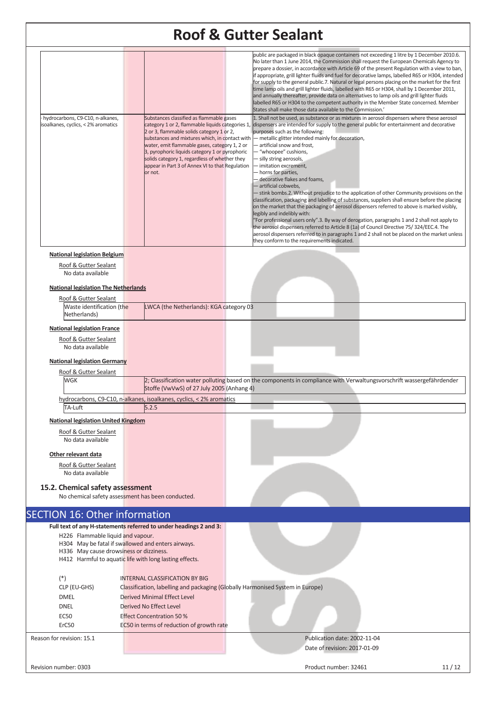|                                                                         |                                                                                                                                                                                                                                                                                                                                                                                                               | <b>Roof &amp; Gutter Sealant</b>                                                                                                                                                                                                                                                                                                                                                                                                                                                                                                                                                                                                                                                                                                                                                                                                                                                                                                                                                                                                                                                                                                                                                                                                                                                                                                                                                                                                                                                                                                                                                                                                                                                                                                                                                                                                                                                                                                                                                                                           |  |
|-------------------------------------------------------------------------|---------------------------------------------------------------------------------------------------------------------------------------------------------------------------------------------------------------------------------------------------------------------------------------------------------------------------------------------------------------------------------------------------------------|----------------------------------------------------------------------------------------------------------------------------------------------------------------------------------------------------------------------------------------------------------------------------------------------------------------------------------------------------------------------------------------------------------------------------------------------------------------------------------------------------------------------------------------------------------------------------------------------------------------------------------------------------------------------------------------------------------------------------------------------------------------------------------------------------------------------------------------------------------------------------------------------------------------------------------------------------------------------------------------------------------------------------------------------------------------------------------------------------------------------------------------------------------------------------------------------------------------------------------------------------------------------------------------------------------------------------------------------------------------------------------------------------------------------------------------------------------------------------------------------------------------------------------------------------------------------------------------------------------------------------------------------------------------------------------------------------------------------------------------------------------------------------------------------------------------------------------------------------------------------------------------------------------------------------------------------------------------------------------------------------------------------------|--|
| hydrocarbons, C9-C10, n-alkanes,<br>isoalkanes, cyclics, < 2% aromatics | Substances classified as flammable gases<br>category 1 or 2, flammable liquids categories 1,<br>2 or 3, flammable solids category 1 or 2,<br>substances and mixtures which, in contact with<br>water, emit flammable gases, category 1, 2 or<br>3, pyrophoric liquids category 1 or pyrophoric<br>solids category 1, regardless of whether they<br>appear in Part 3 of Annex VI to that Regulation<br>or not. | public are packaged in black opaque containers not exceeding 1 litre by 1 December 2010.6.<br>No later than 1 June 2014, the Commission shall request the European Chemicals Agency to<br>prepare a dossier, in accordance with Article 69 of the present Regulation with a view to ban,<br>if appropriate, grill lighter fluids and fuel for decorative lamps, labelled R65 or H304, intended<br>for supply to the general public.7. Natural or legal persons placing on the market for the first<br>time lamp oils and grill lighter fluids, labelled with R65 or H304, shall by 1 December 2011,<br>and annually thereafter, provide data on alternatives to lamp oils and grill lighter fluids<br>labelled R65 or H304 to the competent authority in the Member State concerned. Member<br>States shall make those data available to the Commission.'<br>1. Shall not be used, as substance or as mixtures in aerosol dispensers where these aerosol<br>dispensers are intended for supply to the general public for entertainment and decorative<br>purposes such as the following:<br>- metallic glitter intended mainly for decoration,<br>- artificial snow and frost,<br>- "whoopee" cushions,<br>- silly string aerosols,<br>- imitation excrement,<br>- horns for parties,<br>decorative flakes and foams,<br>- artificial cobwebs,<br>- stink bombs.2. Without prejudice to the application of other Community provisions on the<br>classification, packaging and labelling of substances, suppliers shall ensure before the placing<br>on the market that the packaging of aerosol dispensers referred to above is marked visibly,<br>legibly and indelibly with:<br>"For professional users only".3. By way of derogation, paragraphs 1 and 2 shall not apply to<br>the aerosol dispensers referred to Article 8 (1a) of Council Directive 75/324/EEC.4. The<br>aerosol dispensers referred to in paragraphs 1 and 2 shall not be placed on the market unless<br>they conform to the requirements indicated. |  |
| <b>National legislation Belgium</b>                                     |                                                                                                                                                                                                                                                                                                                                                                                                               |                                                                                                                                                                                                                                                                                                                                                                                                                                                                                                                                                                                                                                                                                                                                                                                                                                                                                                                                                                                                                                                                                                                                                                                                                                                                                                                                                                                                                                                                                                                                                                                                                                                                                                                                                                                                                                                                                                                                                                                                                            |  |
| Roof & Gutter Sealant                                                   |                                                                                                                                                                                                                                                                                                                                                                                                               |                                                                                                                                                                                                                                                                                                                                                                                                                                                                                                                                                                                                                                                                                                                                                                                                                                                                                                                                                                                                                                                                                                                                                                                                                                                                                                                                                                                                                                                                                                                                                                                                                                                                                                                                                                                                                                                                                                                                                                                                                            |  |
| No data available                                                       |                                                                                                                                                                                                                                                                                                                                                                                                               |                                                                                                                                                                                                                                                                                                                                                                                                                                                                                                                                                                                                                                                                                                                                                                                                                                                                                                                                                                                                                                                                                                                                                                                                                                                                                                                                                                                                                                                                                                                                                                                                                                                                                                                                                                                                                                                                                                                                                                                                                            |  |
| <b>National legislation The Netherlands</b>                             |                                                                                                                                                                                                                                                                                                                                                                                                               |                                                                                                                                                                                                                                                                                                                                                                                                                                                                                                                                                                                                                                                                                                                                                                                                                                                                                                                                                                                                                                                                                                                                                                                                                                                                                                                                                                                                                                                                                                                                                                                                                                                                                                                                                                                                                                                                                                                                                                                                                            |  |
| Roof & Gutter Sealant                                                   |                                                                                                                                                                                                                                                                                                                                                                                                               |                                                                                                                                                                                                                                                                                                                                                                                                                                                                                                                                                                                                                                                                                                                                                                                                                                                                                                                                                                                                                                                                                                                                                                                                                                                                                                                                                                                                                                                                                                                                                                                                                                                                                                                                                                                                                                                                                                                                                                                                                            |  |
| Waste identification (the<br>Netherlands)                               | LWCA (the Netherlands): KGA category 03                                                                                                                                                                                                                                                                                                                                                                       |                                                                                                                                                                                                                                                                                                                                                                                                                                                                                                                                                                                                                                                                                                                                                                                                                                                                                                                                                                                                                                                                                                                                                                                                                                                                                                                                                                                                                                                                                                                                                                                                                                                                                                                                                                                                                                                                                                                                                                                                                            |  |
| <b>National legislation France</b>                                      |                                                                                                                                                                                                                                                                                                                                                                                                               |                                                                                                                                                                                                                                                                                                                                                                                                                                                                                                                                                                                                                                                                                                                                                                                                                                                                                                                                                                                                                                                                                                                                                                                                                                                                                                                                                                                                                                                                                                                                                                                                                                                                                                                                                                                                                                                                                                                                                                                                                            |  |
| Roof & Gutter Sealant                                                   |                                                                                                                                                                                                                                                                                                                                                                                                               |                                                                                                                                                                                                                                                                                                                                                                                                                                                                                                                                                                                                                                                                                                                                                                                                                                                                                                                                                                                                                                                                                                                                                                                                                                                                                                                                                                                                                                                                                                                                                                                                                                                                                                                                                                                                                                                                                                                                                                                                                            |  |
| No data available                                                       |                                                                                                                                                                                                                                                                                                                                                                                                               |                                                                                                                                                                                                                                                                                                                                                                                                                                                                                                                                                                                                                                                                                                                                                                                                                                                                                                                                                                                                                                                                                                                                                                                                                                                                                                                                                                                                                                                                                                                                                                                                                                                                                                                                                                                                                                                                                                                                                                                                                            |  |
| <b>National legislation Germany</b>                                     |                                                                                                                                                                                                                                                                                                                                                                                                               |                                                                                                                                                                                                                                                                                                                                                                                                                                                                                                                                                                                                                                                                                                                                                                                                                                                                                                                                                                                                                                                                                                                                                                                                                                                                                                                                                                                                                                                                                                                                                                                                                                                                                                                                                                                                                                                                                                                                                                                                                            |  |
| Roof & Gutter Sealant                                                   |                                                                                                                                                                                                                                                                                                                                                                                                               |                                                                                                                                                                                                                                                                                                                                                                                                                                                                                                                                                                                                                                                                                                                                                                                                                                                                                                                                                                                                                                                                                                                                                                                                                                                                                                                                                                                                                                                                                                                                                                                                                                                                                                                                                                                                                                                                                                                                                                                                                            |  |
| <b>WGK</b>                                                              | Stoffe (VwVwS) of 27 July 2005 (Anhang 4)                                                                                                                                                                                                                                                                                                                                                                     | 2; Classification water polluting based on the components in compliance with Verwaltungsvorschrift wassergefährdender                                                                                                                                                                                                                                                                                                                                                                                                                                                                                                                                                                                                                                                                                                                                                                                                                                                                                                                                                                                                                                                                                                                                                                                                                                                                                                                                                                                                                                                                                                                                                                                                                                                                                                                                                                                                                                                                                                      |  |
|                                                                         | hydrocarbons, C9-C10, n-alkanes, isoalkanes, cyclics, < 2% aromatics                                                                                                                                                                                                                                                                                                                                          |                                                                                                                                                                                                                                                                                                                                                                                                                                                                                                                                                                                                                                                                                                                                                                                                                                                                                                                                                                                                                                                                                                                                                                                                                                                                                                                                                                                                                                                                                                                                                                                                                                                                                                                                                                                                                                                                                                                                                                                                                            |  |
| TA-Luft                                                                 | 5.2.5                                                                                                                                                                                                                                                                                                                                                                                                         |                                                                                                                                                                                                                                                                                                                                                                                                                                                                                                                                                                                                                                                                                                                                                                                                                                                                                                                                                                                                                                                                                                                                                                                                                                                                                                                                                                                                                                                                                                                                                                                                                                                                                                                                                                                                                                                                                                                                                                                                                            |  |
| <b>National legislation United Kingdom</b>                              |                                                                                                                                                                                                                                                                                                                                                                                                               |                                                                                                                                                                                                                                                                                                                                                                                                                                                                                                                                                                                                                                                                                                                                                                                                                                                                                                                                                                                                                                                                                                                                                                                                                                                                                                                                                                                                                                                                                                                                                                                                                                                                                                                                                                                                                                                                                                                                                                                                                            |  |
| Roof & Gutter Sealant<br>No data available                              |                                                                                                                                                                                                                                                                                                                                                                                                               |                                                                                                                                                                                                                                                                                                                                                                                                                                                                                                                                                                                                                                                                                                                                                                                                                                                                                                                                                                                                                                                                                                                                                                                                                                                                                                                                                                                                                                                                                                                                                                                                                                                                                                                                                                                                                                                                                                                                                                                                                            |  |
| Other relevant data                                                     |                                                                                                                                                                                                                                                                                                                                                                                                               |                                                                                                                                                                                                                                                                                                                                                                                                                                                                                                                                                                                                                                                                                                                                                                                                                                                                                                                                                                                                                                                                                                                                                                                                                                                                                                                                                                                                                                                                                                                                                                                                                                                                                                                                                                                                                                                                                                                                                                                                                            |  |
| Roof & Gutter Sealant                                                   |                                                                                                                                                                                                                                                                                                                                                                                                               |                                                                                                                                                                                                                                                                                                                                                                                                                                                                                                                                                                                                                                                                                                                                                                                                                                                                                                                                                                                                                                                                                                                                                                                                                                                                                                                                                                                                                                                                                                                                                                                                                                                                                                                                                                                                                                                                                                                                                                                                                            |  |
| No data available                                                       |                                                                                                                                                                                                                                                                                                                                                                                                               |                                                                                                                                                                                                                                                                                                                                                                                                                                                                                                                                                                                                                                                                                                                                                                                                                                                                                                                                                                                                                                                                                                                                                                                                                                                                                                                                                                                                                                                                                                                                                                                                                                                                                                                                                                                                                                                                                                                                                                                                                            |  |
| 15.2. Chemical safety assessment                                        |                                                                                                                                                                                                                                                                                                                                                                                                               |                                                                                                                                                                                                                                                                                                                                                                                                                                                                                                                                                                                                                                                                                                                                                                                                                                                                                                                                                                                                                                                                                                                                                                                                                                                                                                                                                                                                                                                                                                                                                                                                                                                                                                                                                                                                                                                                                                                                                                                                                            |  |
|                                                                         | No chemical safety assessment has been conducted.                                                                                                                                                                                                                                                                                                                                                             |                                                                                                                                                                                                                                                                                                                                                                                                                                                                                                                                                                                                                                                                                                                                                                                                                                                                                                                                                                                                                                                                                                                                                                                                                                                                                                                                                                                                                                                                                                                                                                                                                                                                                                                                                                                                                                                                                                                                                                                                                            |  |
|                                                                         |                                                                                                                                                                                                                                                                                                                                                                                                               |                                                                                                                                                                                                                                                                                                                                                                                                                                                                                                                                                                                                                                                                                                                                                                                                                                                                                                                                                                                                                                                                                                                                                                                                                                                                                                                                                                                                                                                                                                                                                                                                                                                                                                                                                                                                                                                                                                                                                                                                                            |  |
| <b>SECTION 16: Other information</b>                                    |                                                                                                                                                                                                                                                                                                                                                                                                               |                                                                                                                                                                                                                                                                                                                                                                                                                                                                                                                                                                                                                                                                                                                                                                                                                                                                                                                                                                                                                                                                                                                                                                                                                                                                                                                                                                                                                                                                                                                                                                                                                                                                                                                                                                                                                                                                                                                                                                                                                            |  |
|                                                                         | Full text of any H-statements referred to under headings 2 and 3:                                                                                                                                                                                                                                                                                                                                             |                                                                                                                                                                                                                                                                                                                                                                                                                                                                                                                                                                                                                                                                                                                                                                                                                                                                                                                                                                                                                                                                                                                                                                                                                                                                                                                                                                                                                                                                                                                                                                                                                                                                                                                                                                                                                                                                                                                                                                                                                            |  |
| H226 Flammable liquid and vapour.                                       | H304 May be fatal if swallowed and enters airways.                                                                                                                                                                                                                                                                                                                                                            |                                                                                                                                                                                                                                                                                                                                                                                                                                                                                                                                                                                                                                                                                                                                                                                                                                                                                                                                                                                                                                                                                                                                                                                                                                                                                                                                                                                                                                                                                                                                                                                                                                                                                                                                                                                                                                                                                                                                                                                                                            |  |
| H336 May cause drowsiness or dizziness.                                 |                                                                                                                                                                                                                                                                                                                                                                                                               |                                                                                                                                                                                                                                                                                                                                                                                                                                                                                                                                                                                                                                                                                                                                                                                                                                                                                                                                                                                                                                                                                                                                                                                                                                                                                                                                                                                                                                                                                                                                                                                                                                                                                                                                                                                                                                                                                                                                                                                                                            |  |
|                                                                         | H412 Harmful to aquatic life with long lasting effects.                                                                                                                                                                                                                                                                                                                                                       |                                                                                                                                                                                                                                                                                                                                                                                                                                                                                                                                                                                                                                                                                                                                                                                                                                                                                                                                                                                                                                                                                                                                                                                                                                                                                                                                                                                                                                                                                                                                                                                                                                                                                                                                                                                                                                                                                                                                                                                                                            |  |
| $(*)$                                                                   | <b>INTERNAL CLASSIFICATION BY BIG</b>                                                                                                                                                                                                                                                                                                                                                                         |                                                                                                                                                                                                                                                                                                                                                                                                                                                                                                                                                                                                                                                                                                                                                                                                                                                                                                                                                                                                                                                                                                                                                                                                                                                                                                                                                                                                                                                                                                                                                                                                                                                                                                                                                                                                                                                                                                                                                                                                                            |  |
| CLP (EU-GHS)                                                            | Classification, labelling and packaging (Globally Harmonised System in Europe)                                                                                                                                                                                                                                                                                                                                |                                                                                                                                                                                                                                                                                                                                                                                                                                                                                                                                                                                                                                                                                                                                                                                                                                                                                                                                                                                                                                                                                                                                                                                                                                                                                                                                                                                                                                                                                                                                                                                                                                                                                                                                                                                                                                                                                                                                                                                                                            |  |
| <b>DMEL</b>                                                             | <b>Derived Minimal Effect Level</b>                                                                                                                                                                                                                                                                                                                                                                           |                                                                                                                                                                                                                                                                                                                                                                                                                                                                                                                                                                                                                                                                                                                                                                                                                                                                                                                                                                                                                                                                                                                                                                                                                                                                                                                                                                                                                                                                                                                                                                                                                                                                                                                                                                                                                                                                                                                                                                                                                            |  |
| <b>DNEL</b>                                                             | Derived No Effect Level                                                                                                                                                                                                                                                                                                                                                                                       |                                                                                                                                                                                                                                                                                                                                                                                                                                                                                                                                                                                                                                                                                                                                                                                                                                                                                                                                                                                                                                                                                                                                                                                                                                                                                                                                                                                                                                                                                                                                                                                                                                                                                                                                                                                                                                                                                                                                                                                                                            |  |
| <b>EC50</b>                                                             | <b>Effect Concentration 50 %</b>                                                                                                                                                                                                                                                                                                                                                                              |                                                                                                                                                                                                                                                                                                                                                                                                                                                                                                                                                                                                                                                                                                                                                                                                                                                                                                                                                                                                                                                                                                                                                                                                                                                                                                                                                                                                                                                                                                                                                                                                                                                                                                                                                                                                                                                                                                                                                                                                                            |  |
| ErC50                                                                   | EC50 in terms of reduction of growth rate                                                                                                                                                                                                                                                                                                                                                                     |                                                                                                                                                                                                                                                                                                                                                                                                                                                                                                                                                                                                                                                                                                                                                                                                                                                                                                                                                                                                                                                                                                                                                                                                                                                                                                                                                                                                                                                                                                                                                                                                                                                                                                                                                                                                                                                                                                                                                                                                                            |  |
| Reason for revision: 15.1                                               |                                                                                                                                                                                                                                                                                                                                                                                                               | Publication date: 2002-11-04                                                                                                                                                                                                                                                                                                                                                                                                                                                                                                                                                                                                                                                                                                                                                                                                                                                                                                                                                                                                                                                                                                                                                                                                                                                                                                                                                                                                                                                                                                                                                                                                                                                                                                                                                                                                                                                                                                                                                                                               |  |
|                                                                         |                                                                                                                                                                                                                                                                                                                                                                                                               | Date of revision: 2017-01-09                                                                                                                                                                                                                                                                                                                                                                                                                                                                                                                                                                                                                                                                                                                                                                                                                                                                                                                                                                                                                                                                                                                                                                                                                                                                                                                                                                                                                                                                                                                                                                                                                                                                                                                                                                                                                                                                                                                                                                                               |  |
| Revision number: 0303                                                   |                                                                                                                                                                                                                                                                                                                                                                                                               | Product number: 32461<br>11/12                                                                                                                                                                                                                                                                                                                                                                                                                                                                                                                                                                                                                                                                                                                                                                                                                                                                                                                                                                                                                                                                                                                                                                                                                                                                                                                                                                                                                                                                                                                                                                                                                                                                                                                                                                                                                                                                                                                                                                                             |  |